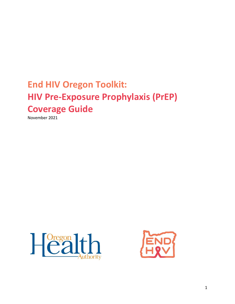# **End HIV Oregon Toolkit: HIV Pre-Exposure Prophylaxis (PrEP) Coverage Guide**

November 2021





1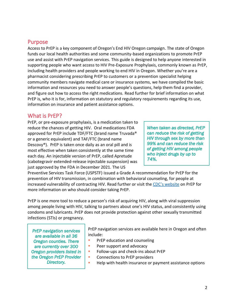## Purpose

Access to PrEP is a key component of Oregon's End HIV Oregon campaign. The state of Oregon funds our local health authorities and some community-based organizations to promote PrEP use and assist with PrEP navigation services. This guide is designed to help anyone interested in supporting people who want access to HIV Pre-Exposure Prophylaxis, commonly known as PrEP, including health providers and people working to end HIV in Oregon. Whether you're are a pharmacist considering prescribing PrEP to customers or a prevention specialist helping community members navigate medical care or insurance systems, we have compiled the basic information and resources you need to answer people's questions, help them find a provider, and figure out how to access the right medications. Read further for brief information on what PrEP is, who it is for, information on statutory and regulatory requirements regarding its use, information on insurance and patient assistance options.

# What is PrEP?

PrEP, or pre-exposure prophylaxis, is a medication taken to reduce the chances of getting HIV. Oral medications FDA approved for PrEP include TDF/FTC (brand name Truvada® or a generic equivalent) and TAF/FTC (brand name Descovy®). PrEP is taken once daily as an oral pill and is most effective when taken consistently at the same time each day. An injectable version of PrEP, called Apretude (cabotegravir extended-release injectable suspension) was just approved by the FDA in December 2021. The US

*When taken as directed, PrEP can reduce the risk of getting HIV through sex by more than 99% and can reduce the risk of getting HIV among people who inject drugs by up to 74%.* 

Preventive Services Task Force (USPSTF) issued a Grade A recommendation for PrEP for the prevention of HIV transmission, in combination with behavioral counseling, for people at increased vulnerability of contracting HIV. Read further or visit the [CDC's website](https://www.cdc.gov/hiv/basics/prep.html) on PrEP for more information on who should consider taking PrEP.

PrEP is one more tool to reduce a person's risk of acquiring HIV, along with viral suppression among people living with HIV, talking to partners about one's HIV status, and consistently using condoms and lubricants. PrEP does not provide protection against other sexually transmitted infections (STIs) or pregnancy.

*PrEP navigation services are available in all 36 Oregon counties. There are currently over 300 Oregon providers listed in the Oregon PrEP Provider Directory.* 

PrEP navigation services are available here in Oregon and often include:

- **PrEP education and counseling**
- Peer support and advocacy
- Follow-ups and check-ins about PrEP
- Connections to PrEP providers
- Help with health insurance or payment assistance options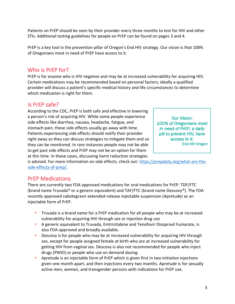Patients on PrEP should be seen by their provider every three months to test for HIV and other STIs. Additional testing guidelines for people on PrEP can be found on pages 3 and 4.

PrEP is a key tool in the prevention pillar of Oregon's End HIV strategy. Our vision is that 100% of Oregonians most in need of PrEP have access to it.

# Who is PrEP for?

PrEP is for anyone who is HIV negative and may be at increased vulnerability for acquiring HIV. Certain medications may be recommended based on personal factors; ideally a qualified provider will discuss a patient's specific medical history and life circumstances to determine which medication is right for them.

# Is PrEP safe?

According to the CDC, PrEP is both safe and effective in lowering a person's risk of acquiring HIV. While some people experience side effects like diarrhea, nausea, headache, fatigue, and stomach pain, these side effects usually go away with time. Patients experiencing side effects should notify their provider right away so they can discuss strategies to mitigate them and so they can be monitored. In rare instances people may not be able to get past side effects and PrEP may not be an option for them at this time. In these cases, discussing harm reduction strategies

*Our Vision: 100% of Oregonians most in need of PrEP, a daily pill to prevent HIV, have access to it. End HIV Oregon*

is advised. For more information on side effects, check out: [https://prepdaily.org/what-are-the](https://prepdaily.org/what-are-the-side-effects-of-prep/)[side-effects-of-prep/.](https://prepdaily.org/what-are-the-side-effects-of-prep/)

# PrEP Medications

There are currently two FDA approved medications for oral medications for PrEP: TDF/FTC (brand name Truvada® or a generic equivalent) and TAF/FTC (brand name Descovy®). The FDA recently approved cabotegravir extended-release injectable suspension (Apretude) as an injectable form of PrEP.

- **E** Truvada is a brand name for a PrEP medication for all people who may be at increased vulnerability for acquiring HIV through sex or injection drug use
- **A generic equivalent to Truvada, Emtricitabine and Tenofovir Disoproxil Fumarate, is** also FDA-approved and broadly available.
- **•** Descovy is for people who may be at increased vulnerability for acquiring HIV through sex, except for people assigned female at birth who are at increased vulnerability for getting HIV from vaginal sex. Descovy is also not recommended for people who inject drugs (PWID) or people who use on demand dosing.
- **•** Apretude is an injectable form of PrEP which is given first in two initiation injections given one month apart, and then injections every two months. Apretude is for sexually active men, women, and transgender persons with indications for PrEP use.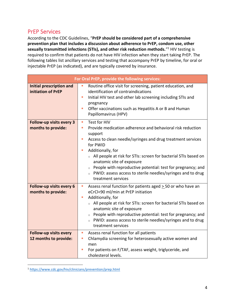# PrEP Services

According to the CDC Guidelines, "**PrEP should be considered part of a comprehensive prevention plan that includes a discussion about adherence to PrEP, condom use, other sexually transmitted infections (STIs), and other risk reduction methods.**"<sup>1</sup> HIV testing is required to confirm that patients do not have HIV infection when they start taking PrEP. The following tables list ancillary services and testing that accompany PrEP by timeline, for oral or injectable PrEP (as indicated), and are typically covered by insurance.

| For Oral PrEP, provide the following services:         |                                                                                                                                                                                                                                                                                                                                                                                                                            |  |  |
|--------------------------------------------------------|----------------------------------------------------------------------------------------------------------------------------------------------------------------------------------------------------------------------------------------------------------------------------------------------------------------------------------------------------------------------------------------------------------------------------|--|--|
| <b>Initial prescription and</b><br>initiation of PrEP  | Routine office visit for screening, patient education, and<br>u,<br>identification of contraindications<br>Initial HIV test and other lab screening including STIs and<br><b>C</b><br>pregnancy<br>Offer vaccinations such as Hepatitis A or B and Human<br>$\blacksquare$<br>Papillomavirus (HPV)                                                                                                                         |  |  |
| Follow-up visits every 3                               | Test for HIV<br>п                                                                                                                                                                                                                                                                                                                                                                                                          |  |  |
| months to provide:                                     | Provide medication adherence and behavioral risk reduction<br>ш<br>support<br>Access to clean needle/syringes and drug treatment services<br>for PWID<br>Additionally, for<br>○ All people at risk for STIs: screen for bacterial STIs based on<br>anatomic site of exposure<br>o People with reproductive potential: test for pregnancy; and<br>o PWID: assess access to sterile needles/syringes and to drug             |  |  |
|                                                        | treatment services                                                                                                                                                                                                                                                                                                                                                                                                         |  |  |
| Follow-up visits every 6<br>months to provide:         | Assess renal function for patients aged > 50 or who have an<br>ш<br>eCrCl<90 ml/min at PrEP initiation<br>Additionally, for<br>$\overline{\phantom{a}}$<br>o All people at risk for STIs: screen for bacterial STIs based on<br>anatomic site of exposure<br>○ People with reproductive potential: test for pregnancy; and<br>PWID: assess access to sterile needles/syringes and to drug<br>$\circ$<br>treatment services |  |  |
| <b>Follow-up visits every</b><br>12 months to provide: | Assess renal function for all patients<br>$\blacksquare$<br>Chlamydia screening for heterosexually active women and<br>ш<br>men<br>For patients on F/TAF, assess weight, triglyceride, and<br>cholesterol levels.                                                                                                                                                                                                          |  |  |

<sup>1</sup> <https://www.cdc.gov/hiv/clinicians/prevention/prep.html>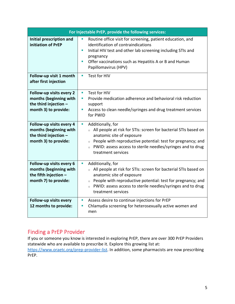| For Injectable PrEP, provide the following services:                                                  |                                                                                                                                                                                                                                                                                                     |  |  |
|-------------------------------------------------------------------------------------------------------|-----------------------------------------------------------------------------------------------------------------------------------------------------------------------------------------------------------------------------------------------------------------------------------------------------|--|--|
| Initial prescription and<br>initiation of PrEP                                                        | Routine office visit for screening, patient education, and<br>identification of contraindications<br>Initial HIV test and other lab screening including STIs and<br>pregnancy<br>Offer vaccinations such as Hepatitis A or B and Human<br>Papillomavirus (HPV)                                      |  |  |
| Follow-up visit 1 month<br>after first injection                                                      | Test for HIV<br>$\blacksquare$                                                                                                                                                                                                                                                                      |  |  |
| Follow-up visits every 2<br>months (beginning with<br>the third injection $-$<br>month 3) to provide: | Test for HIV<br>$\blacksquare$<br>Provide medication adherence and behavioral risk reduction<br>ш<br>support<br>Access to clean needle/syringes and drug treatment services<br>ш<br>for PWID                                                                                                        |  |  |
| Follow-up visits every 4<br>months (beginning with<br>the third injection -<br>month 3) to provide:   | Additionally, for<br>ш<br>All people at risk for STIs: screen for bacterial STIs based on<br>anatomic site of exposure<br>$\circ$ People with reproductive potential: test for pregnancy; and<br>PWID: assess access to sterile needles/syringes and to drug<br>$\circ$<br>treatment services       |  |  |
| Follow-up visits every 6<br>months (beginning with<br>the fifth injection $-$<br>month 7) to provide: | Additionally, for<br>$\blacksquare$<br>○ All people at risk for STIs: screen for bacterial STIs based on<br>anatomic site of exposure<br>$\circ$ People with reproductive potential: test for pregnancy; and<br>o PWID: assess access to sterile needles/syringes and to drug<br>treatment services |  |  |
| Follow-up visits every<br>12 months to provide:                                                       | Assess desire to continue injections for PrEP<br>ш<br>Chlamydia screening for heterosexually active women and<br>ш<br>men                                                                                                                                                                           |  |  |

# Finding a PrEP Provider

If you or someone you know is interested in exploring PrEP, there are over 300 PrEP Providers statewide who are available to prescribe it. Explore this growing list at:

[https://www.oraetc.org/prep-provider-list.](https://www.oraetc.org/prep-provider-list) In addition, some pharmacists are now prescribing PrEP.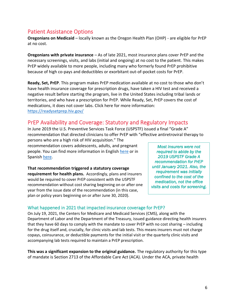# Patient Assistance Options

**Oregonians on Medicaid** – locally known as the Oregon Health Plan (OHP) - are eligible for PrEP at no cost.

**Oregonians with private insurance** – As of late 2021, most insurance plans cover PrEP and the necessary screenings, visits, and labs (initial and ongoing) at no cost to the patient. This makes PrEP widely available to more people, including many who formerly found PrEP prohibitive because of high co-pays and deductibles or exorbitant out-of-pocket costs for PrEP.

**Ready, Set, PrEP**. This program makes PrEP medication available at no cost to those who don't have health insurance coverage for prescription drugs, have taken a HIV test and received a negative result before starting the program, live in the United States including tribal lands or territories, and who have a prescription for PrEP. While Ready, Set, PrEP covers the cost of medications, it does not cover labs. Click here for more information: <https://readysetprep.hiv.gov/>

# PrEP Availability and Coverage: Statutory and Regulatory Impacts

In June 2019 the U.S. Preventive Services Task Force (USPSTF) issued a final "Grade A" recommendation that directed clinicians to offer PrEP with "effective antiretroviral therapy to

persons who are a high risk of HIV acquisition." The recommendation covers adolescents, adults, and pregnant people. You can find more information in English [here](https://www.oregon.gov/oha/PH/DISEASESCONDITIONS/HIVSTDVIRALHEPATITIS/HIVPREVENTION/Documents/PrEP%20and%20PEP/PrEP_Grade_A_English.pdf) or in Spanish [here.](https://www.oregon.gov/oha/PH/DISEASESCONDITIONS/HIVSTDVIRALHEPATITIS/HIVPREVENTION/Documents/PrEP%20and%20PEP/PrEP_Grade_A_Spanish.pdf)

**That recommendation triggered a statutory coverage requirement for health plans.** Accordingly, plans and insurers would be required to cover PrEP consistent with the USPSTF recommendation without cost sharing beginning on or after one year from the issue date of the recommendation (in this case, plan or policy years beginning on or after June 30, 2020).

*Most insurers were not required to abide by the 2019 USPSTF Grade A recommendation for PrEP until January 2021. Also, the requirement was initially confined to the cost of the medication, not the office visits and costs for screening.* 

## What happened in 2021 that impacted insurance coverage for PrEP?

On July 19, 2021, the Centers for Medicare and Medicaid Services (CMS), along with the Department of Labor and the Department of the Treasury, issued guidance directing health insurers that they have 60 days to comply with the mandate to cover PrEP with no cost sharing – including for the drug itself and, crucially, for clinic visits and lab tests. This means insurers must not charge copays, coinsurance, or deductible payments for the initial visit or the quarterly clinic visits and accompanying lab tests required to maintain a PrEP prescription.

**This was a significant expansion to the original guidance.** The regulatory authority for this type of mandate is Section 2713 of the Affordable Care Act (ACA). Under the ACA, private health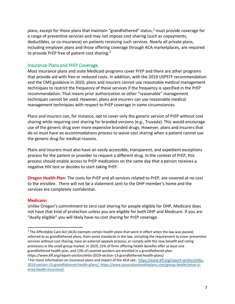plans, except for those plans that maintain "grandfathered" status, $2$  must provide coverage for a range of preventive services and may not impose cost sharing (such as copayments, deductibles, or co-insurance) on patients receiving such services. Nearly all private plans, including employer plans and those offering coverage through ACA marketplaces, are required to provide PrEP free of patient cost sharing. $3$ 

## Insurance Plans and PrEP Coverage

Most insurance plans and state Medicaid programs cover PrEP and there are other programs that provide aid with free or reduced costs. In addition, with the 2019 USPSTF recommendation and the CMS guidance in 2020, plans and insurers cannot use reasonable medical management techniques to restrict the frequency of these services if the frequency is specified in the PrEP recommendation. That means prior authorization or other "reasonable" management techniques cannot be used. However, plans and insurers can use reasonable medical management techniques with respect to PrEP coverage in some circumstances.

Plans and insurers can, for instance, opt to cover only the generic version of PrEP without cost sharing while requiring cost sharing for branded versions (e.g., Truvada). This would encourage use of the generic drug over more expensive branded drugs. However, plans and insurers that do so must have an accommodations process to waive cost sharing when a patient cannot use the generic drug for medical reasons.

Plans and insurers must also have an easily accessible, transparent, and expedient exceptions process for the patient or provider to request a different drug. In the context of PrEP, this process should enable access to PrEP medication on the same day that a person receives a negative HIV test or decides to start taking PrEP.

**Oregon Health Plan**: The costs for PrEP and all services related to PrEP, are covered at no cost to the enrollee. There will not be a statement sent to the OHP member's home and the services are completely confidential.

#### **Medicare:**

Unlike Oregon's commitment to zero cost sharing for people eligible for OHP, Medicare does not have that kind of protection unless you are eligible for both OHP and Medicare. If you are "dually eligible" you will likely have no cost sharing for PrEP coverage.

<sup>&</sup>lt;sup>2</sup> The Affordable Care Act (ACA) exempts certain health plans that were in effect when the law was passed, referred to as grandfathered plans, from some standards in the law, including the requirement to cover preventive services without cost sharing, have an external appeals process, or comply with the new benefit and rating provisions in the small group market. In 2019, 22% of firms offering health benefits offer at least one grandfathered health plan, and 13% of covered workers are enrolled in a grandfathered plan. https://www.kff.org/report-section/ehbs-2019-section-13-grandfathered-health-plans/

<sup>3</sup> For more information on insurance plans and impact of the ACA see: [https://www.kff.org/report-section/ehbs-](https://www.kff.org/report-section/ehbs-2019-section-13-grandfathered-health-plans/)[2019-section-13-grandfathered-health-plans/,](https://www.kff.org/report-section/ehbs-2019-section-13-grandfathered-health-plans/) [https://www.associationhealthplans.com/group-health/what-is](https://www.associationhealthplans.com/group-health/what-is-erisa-health-insurance/)[erisa-health-insurance/](https://www.associationhealthplans.com/group-health/what-is-erisa-health-insurance/)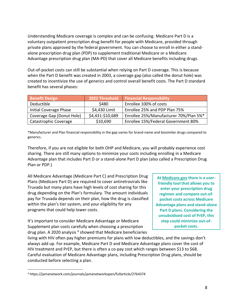Understanding Medicare coverage is complex and can be confusing. Medicare Part D is a voluntary outpatient prescription drug benefit for people with Medicare, provided through private plans approved by the federal government. You can choose to enroll in either a standalone prescription drug plan (PDP) to supplement traditional Medicare or a Medicare Advantage prescription drug plan (MA-PD) that cover all Medicare benefits including drugs.

Out-of-pocket costs can still be substantial when relying on Part D coverage. This is because when the Part D benefit was created in 2003, a coverage gap (also called the donut hole) was created to incentivize the use of generics and control overall benefit costs. The Part D standard benefit has several phases:

| <b>Benefit Design</b>     | 2022 Threshold   | <b>Financial Responsibility</b>        |
|---------------------------|------------------|----------------------------------------|
| Deductible                | \$480            | Enrollee 100% of costs                 |
| Initial Coverage Phase    | \$4,430 Limit    | Enrollee 25% and PDP Plan 75%          |
| Coverage Gap (Donut Hole) | \$4,431-\$10,689 | Enrollee 25%/Manufacturer 70%/Plan 5%* |
| Catastrophic Coverage     | \$10,690         | Enrollee 15%/Federal Government 80%    |

\*Manufacturer and Plan financial responsibility in the gap varies for brand-name and biosimilar drugs compared to generics.

Therefore, if you are not eligible for both OHP and Medicare, you will probably experience cost sharing. There are still many options to minimize your costs including enrolling in a Medicare Advantage plan that includes Part D or a stand-alone Part D plan (also called a Prescription Drug Plan or PDP.)

All Medicare Advantage (Medicare Part C) and Prescription Drug Plans (Medicare Part D) are required to cover antiretrovirals like Truvada but many plans have high levels of cost sharing for this drug depending on the Plan's formulary. The amount individuals pay for Truvada depends on their plan, how the drug is classified within the plan's tier system, and your eligibility for any programs that could help lower costs.

It's important to consider Medicare Advantage or Medicare Supplement plan costs carefully when choosing a prescription drug plan. A 2020 analysis<sup>4</sup> showed that Medicare beneficiaries

**At [Medicare.gov](https://www.medicare.gov/plan-compare/?utm_campaign=pn-cmsoe2021&utm_source=Google&utm_medium=Search&utm_content=pn-10152021_MedicareBrand_V2&gclid=EAIaIQobChMI8-WjoJ_B9AIVhBx9Ch2kwA9eEAAYASAAEgKizvD_BwE#/?lang=en&year=2022) there is a userfriendly tool that allows you to enter your prescription drug regimen and compare out-ofpocket costs across Medicare Advantage plans and stand-alone Part D plans. Considering the unsubsidized cost of PrEP, this step could minimize out-ofpocket costs.**

living with HIV often pay higher premiums for plans with low deductibles, and the savings don't always add up. For example, Medicare Part D and Medicare Advantage plans cover the cost of HIV treatment and PrEP, but there is often a co-pay cost which ranges between \$13 to \$68. Careful evaluation of Medicare Advantage plans, including Prescription Drug plans, should be conducted before selecting a plan.

<sup>4</sup> https://jamanetwork.com/journals/jamanetworkopen/fullarticle/2764374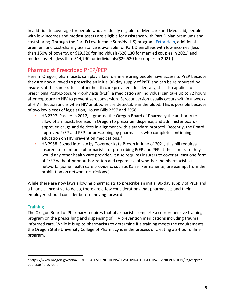In addition to coverage for people who are dually eligible for Medicare and Medicaid, people with low incomes and modest assets are eligible for assistance with Part D plan premiums and cost sharing. Through the Part D Low-Income Subsidy (LIS) program, [Extra Help,](https://www.medicare.gov/your-medicare-costs/get-help-paying-costs/find-your-level-of-extra-help-part-d) additional premium and cost-sharing assistance is available for Part D enrollees with low incomes (less than 150% of poverty, or \$19,320 for individuals/\$26,130 for married couples in 2021) and modest assets (less than \$14,790 for individuals/\$29,520 for couples in 2021.)

# Pharmacist Prescribed PrEP/PEP

Here in Oregon, pharmacists can play a key role in ensuring people have access to PrEP because they are now allowed to prescribe an initial 90-day supply of PrEP and can be reimbursed by insurers at the same rate as other health care providers. Incidentally, this also applies to prescribing Post-Exposure Prophylaxis (PEP), a medication an individual can take up to 72 hours after exposure to HIV to prevent seroconversion. Seroconversion usually occurs within a weeks of HIV infection and is when HIV antibodies are detectable in the blood. This is possible because of two key pieces of legislation, House Bills 2397 and 2958.

- **EXT** HB 2397. Passed in 2017, it granted the Oregon Board of Pharmacy the authority to allow pharmacists licensed in Oregon to prescribe, dispense, and administer boardapproved drugs and devices in alignment with a standard protocol. Recently, the Board approved PrEP and PEP for prescribing by pharmacists who complete continuing education on HIV prevention medications.<sup>5</sup>
- **HB 2958. Signed into law by Governor Kate Brown in June of 2021, this bill requires** insurers to reimburse pharmacists for prescribing PrEP and PEP at the same rate they would any other health care provider. It also requires insurers to cover at least one form of PrEP without prior authorization and regardless of whether the pharmacist is innetwork. (Some health care providers, such as Kaiser Permanente, are exempt from the prohibition on network restrictions.)

While there are now laws allowing pharmacists to prescribe an initial 90-day supply of PrEP and a financial incentive to do so, there are a few considerations that pharmacists and their employers should consider before moving forward.

## **Training**

The Oregon Board of Pharmacy requires that pharmacists complete a comprehensive training program on the prescribing and dispensing of HIV prevention medications including trauma informed care. While it is up to pharmacists to determine if a training meets the requirements, the Oregon State University College of Pharmacy is in the process of creating a 2-hour online program.

<sup>5</sup> https://www.oregon.gov/oha/PH/DISEASESCONDITIONS/HIVSTDVIRALHEPATITIS/HIVPREVENTION/Pages/preppep.aspx#providers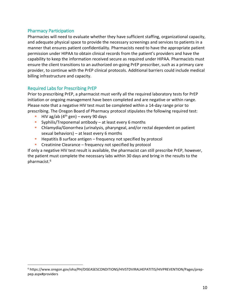## Pharmacy Participation

Pharmacies will need to evaluate whether they have sufficient staffing, organizational capacity, and adequate physical space to provide the necessary screenings and services to patients in a manner that ensures patient confidentiality. Pharmacists need to have the appropriate patient permission under HIPAA to obtain clinical records from the patient's providers and have the capability to keep the information received secure as required under HIPAA. Pharmacists must ensure the client transitions to an authorized on-going PrEP prescriber, such as a primary care provider, to continue with the PrEP clinical protocols. Additional barriers could include medical billing infrastructure and capacity.

## Required Labs for Prescribing PrEP

Prior to prescribing PrEP, a pharmacist must verify all the required laboratory tests for PrEP initiation or ongoing management have been completed and are negative or within range. Please note that a negative HIV test must be completed within a 14-day range prior to prescribing. The Oregon Board of Pharmacy protocol stipulates the following required test:

- **E** HIV ag/ab  $(4<sup>th</sup>$  gen) every 90 days
- **E** Syphilis/Treponemal antibody at least every 6 months
- Chlamydia/Gonorrhea (urinalysis, pharyngeal, and/or rectal dependent on patient sexual behaviors) – at least every 6 months
- Hepatitis B surface antigen frequency not specified by protocol
- Creatinine Clearance frequency not specified by protocol

If only a negative HIV test result is available, the pharmacist can still prescribe PrEP, however, the patient must complete the necessary labs within 30 days and bring in the results to the pharmacist.<sup>6</sup>

<sup>6</sup> https://www.oregon.gov/oha/PH/DISEASESCONDITIONS/HIVSTDVIRALHEPATITIS/HIVPREVENTION/Pages/preppep.aspx#providers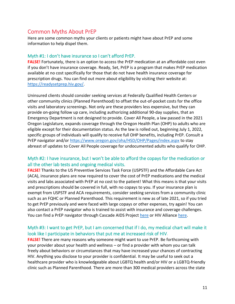# Common Myths About PrEP

Here are some common myths your clients or patients might have about PrEP and some information to help dispel them.

## Myth #1: I don't have insurance so I can't afford PrEP.

**FALSE!** Fortunately, there is an option to access the PrEP medication at an affordable cost even if you don't have insurance coverage. Ready, Set, PrEP is a program that makes PrEP medication available at no cost specifically for those that do not have health insurance coverage for prescription drugs. You can find out more about eligibility by visiting their website at: [https://readysetprep.hiv.gov/.](https://readysetprep.hiv.gov/)

Uninsured clients should consider seeking services at Federally Qualified Health Centers or other community clinics (Planned Parenthood) to offset the out-of-pocket costs for the office visits and laboratory screenings. Not only are these providers less expensive, but they can provide on-going follow up care, including authorizing additional 90-day supplies, that an Emergency Department is not designed to provide. Cover All People, a law passed in the 2021 Oregon Legislature, expands coverage through the Oregon Health Plan (OHP) to adults who are eligible except for their documentation status. As the law is rolled out, beginning July 1, 2022, specific groups of individuals will qualify to receive full OHP benefits, including PrEP. Consult a PrEP navigator and/or <https://www.oregon.gov/oha/HSD/OHP/Pages/index.aspx> to stay abreast of updates to Cover All People coverage for undocumented adults who qualify for OHP.

## Myth #2: I have insurance, but I won't be able to afford the copays for the medication or all the other lab tests and ongoing medical visits.

**FALSE!** Thanks to the US Preventive Services Task Force (USPSTF) and the Affordable Care Act (ACA), insurance plans are now required to cover the cost of PrEP medications and the medical visits and labs associated with PrEP at no cost to the patient! What this means is that your visits and prescriptions should be covered in full, with no copays to you. If your insurance plan is exempt from USPSTF and ACA requirements, consider seeking services from a community clinic such as an FQHC or Planned Parenthood. This requirement is new as of late 2021, so if you tried to get PrEP previously and were faced with large copays or other expenses, try again! You can also contact a PrEP navigator who is trained to assist with insurance and coverage challenges. You can find a PrEP navigator through Cascade AIDS Project [here](https://www.capnw.org/prep/) or HIV Alliance [here.](https://hivalliance.org/prevent/prevention-meds/#pep-prep)

## Myth #3: I want to get PrEP, but I am concerned that if I do, my medical chart will make it look like I participate in behaviors that put me at increased risk of HIV.

**FALSE!** There are many reasons why someone might want to use PrEP. Be forthcoming with your provider about your health and wellness – or find a provider with whom you can talk freely about behaviors or circumstances that may have increased your chances of contracting HIV. Anything you disclose to your provider is confidential. It may be useful to seek out a healthcare provider who is knowledgeable about LGBTQ health and/or HIV or a LGBTQ-friendly clinic such as Planned Parenthood. There are more than 300 medical providers across the state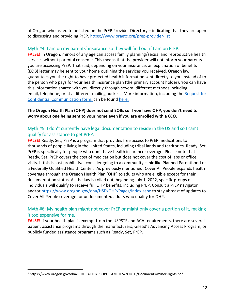of Oregon who asked to be listed on the PrEP Provider Directory – indicating that they are open to discussing and providing PrEP.<https://www.oraetc.org/prep-provider-list>

## Myth #4: I am on my parents' insurance so they will find out if I am on PrEP.

**FALSE!** In Oregon, minors of any age can access family planning/sexual and reproductive health services without parental consent.<sup>7</sup> This means that the provider will not inform your parents you are accessing PrEP. That said, depending on your insurance, an explanation of benefits (EOB) letter may be sent to your home outlining the services you received. Oregon law guarantees you the right to have protected health information sent directly to you instead of to the person who pays for your health insurance plan (the primary account holder). You can have this information shared with you directly through several different methods including email, telephone, or at a different mailing address. More information, including the [Request for](https://dfr.oregon.gov/help/Documents/5059.pdf)  [Confidential Communication form, c](https://dfr.oregon.gov/help/Documents/5059.pdf)an be found [here.](https://dfr.oregon.gov/insure/health/patient-privacy/Pages/your-rights.aspx)

## **The Oregon Health Plan (OHP) does not send EOBs so if you have OHP, you don't need to worry about one being sent to your home even if you are enrolled with a CCO.**

## Myth #5: I don't currently have legal documentation to reside in the US and so I can't qualify for assistance to get PrEP.

**FALSE!** Ready, Set, PrEP is a program that provides free access to PrEP medications to thousands of people living in the United States, including tribal lands and territories. Ready, Set, PrEP is specifically for people who don't have health insurance coverage. Please note that Ready, Set, PrEP covers the cost of medication but does not cover the cost of labs or office visits. If this is cost prohibitive, consider going to a community clinic like Planned Parenthood or a Federally Qualified Health Center. As previously mentioned, Cover All People expands health coverage through the Oregon Health Plan (OHP) to adults who are eligible except for their documentation status. As the law is rolled out, beginning July 1, 2022, specific groups of individuals will qualify to receive full OHP benefits, including PrEP. Consult a PrEP navigator and/or <https://www.oregon.gov/oha/HSD/OHP/Pages/index.aspx> to stay abreast of updates to Cover All People coverage for undocumented adults who qualify for OHP.

## Myth #6: My health plan might not cover PrEP or might only cover a portion of it, making it too expensive for me.

**FALSE!** If your health plan is exempt from the USPSTF and ACA requirements, there are several patient assistance programs through the manufacturers, Gilead's Advancing Access Program, or publicly funded assistance programs such as [Ready,](https://readysetprep.hiv.gov/) Set, PrEP.

<sup>7</sup> https://www.oregon.gov/oha/PH/HEALTHYPEOPLEFAMILIES/YOUTH/Documents/minor-rights.pdf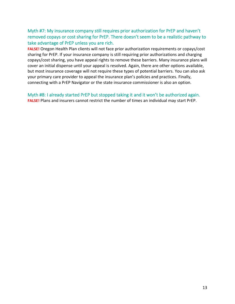## Myth #7: My insurance company still requires prior authorization for PrEP and haven't removed copays or cost sharing for PrEP. There doesn't seem to be a realistic pathway to take advantage of PrEP unless you are rich.

**FALSE!** Oregon Health Plan clients will not face prior authorization requirements or copays/cost sharing for PrEP. If your insurance company is still requiring prior authorizations and charging copays/cost sharing, you have appeal rights to remove these barriers. Many insurance plans will cover an initial dispense until your appeal is resolved. Again, there are other options available, but most insurance coverage will not require these types of potential barriers. You can also ask your primary care provider to appeal the insurance plan's policies and practices. Finally, connecting with a PrEP Navigator or the state insurance commissioner is also an option.

Myth #8: I already started PrEP but stopped taking it and it won't be authorized again. **FALSE!** Plans and insurers cannot restrict the number of times an individual may start PrEP.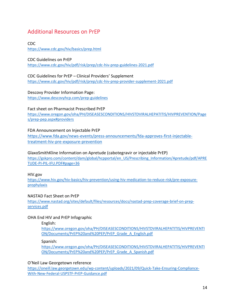# Additional Resources on PrEP

CDC <https://www.cdc.gov/hiv/basics/prep.html>

#### CDC Guidelines on PrEP

<https://www.cdc.gov/hiv/pdf/risk/prep/cdc-hiv-prep-guidelines-2021.pdf>

## CDC Guidelines for PrEP – Clinical Providers' Supplement

<https://www.cdc.gov/hiv/pdf/risk/prep/cdc-hiv-prep-provider-supplement-2021.pdf>

## Descovy Provider Information Page:

<https://www.descovyhcp.com/prep-guidelines>

## Fact sheet on Pharmacist Prescribed PrEP

[https://www.oregon.gov/oha/PH/DISEASESCONDITIONS/HIVSTDVIRALHEPATITIS/HIVPREVENTION/Page](https://www.oregon.gov/oha/PH/DISEASESCONDITIONS/HIVSTDVIRALHEPATITIS/HIVPREVENTION/Pages/prep-pep.aspx#providers) [s/prep-pep.aspx#providers](https://www.oregon.gov/oha/PH/DISEASESCONDITIONS/HIVSTDVIRALHEPATITIS/HIVPREVENTION/Pages/prep-pep.aspx#providers)

## FDA Announcement on Injectable PrEP

[https://www.fda.gov/news-events/press-announcements/fda-approves-first-injectable](https://www.fda.gov/news-events/press-announcements/fda-approves-first-injectable-treatment-hiv-pre-exposure-prevention)[treatment-hiv-pre-exposure-prevention](https://www.fda.gov/news-events/press-announcements/fda-approves-first-injectable-treatment-hiv-pre-exposure-prevention)

#### GlaxoSmithKline Information on Apretude (cabotegravir or injectable PrEP)

[https://gskpro.com/content/dam/global/hcpportal/en\\_US/Prescribing\\_Information/Apretude/pdf/APRE](https://gskpro.com/content/dam/global/hcpportal/en_US/Prescribing_Information/Apretude/pdf/APRETUDE-PI-PIL-IFU.PDF#page=36) [TUDE-PI-PIL-IFU.PDF#page=36](https://gskpro.com/content/dam/global/hcpportal/en_US/Prescribing_Information/Apretude/pdf/APRETUDE-PI-PIL-IFU.PDF#page=36)

#### HIV.gov

[https://www.hiv.gov/hiv-basics/hiv-prevention/using-hiv-medication-to-reduce-risk/pre-exposure](https://www.hiv.gov/hiv-basics/hiv-prevention/using-hiv-medication-to-reduce-risk/pre-exposure-prophylaxis)[prophylaxis](https://www.hiv.gov/hiv-basics/hiv-prevention/using-hiv-medication-to-reduce-risk/pre-exposure-prophylaxis)

## NASTAD Fact Sheet on PrEP

[https://www.nastad.org/sites/default/files/resources/docs/nastad-prep-coverage-brief-on-prep](https://www.nastad.org/sites/default/files/resources/docs/nastad-prep-coverage-brief-on-prep-services.pdf)[services.pdf](https://www.nastad.org/sites/default/files/resources/docs/nastad-prep-coverage-brief-on-prep-services.pdf)

## OHA End HIV and PrEP Infographic

#### English:

[https://www.oregon.gov/oha/PH/DISEASESCONDITIONS/HIVSTDVIRALHEPATITIS/HIVPREVENTI](https://www.oregon.gov/oha/PH/DISEASESCONDITIONS/HIVSTDVIRALHEPATITIS/HIVPREVENTION/Documents/PrEP%20and%20PEP/PrEP_Grade_A_English.pdf) [ON/Documents/PrEP%20and%20PEP/PrEP\\_Grade\\_A\\_English.pdf](https://www.oregon.gov/oha/PH/DISEASESCONDITIONS/HIVSTDVIRALHEPATITIS/HIVPREVENTION/Documents/PrEP%20and%20PEP/PrEP_Grade_A_English.pdf)

#### Spanish:

[https://www.oregon.gov/oha/PH/DISEASESCONDITIONS/HIVSTDVIRALHEPATITIS/HIVPREVENTI](https://www.oregon.gov/oha/PH/DISEASESCONDITIONS/HIVSTDVIRALHEPATITIS/HIVPREVENTION/Documents/PrEP%20and%20PEP/PrEP_Grade_A_Spanish.pdf) [ON/Documents/PrEP%20and%20PEP/PrEP\\_Grade\\_A\\_Spanish.pdf](https://www.oregon.gov/oha/PH/DISEASESCONDITIONS/HIVSTDVIRALHEPATITIS/HIVPREVENTION/Documents/PrEP%20and%20PEP/PrEP_Grade_A_Spanish.pdf)

## O'Neil Law Georgetown reference

[https://oneill.law.georgetown.edu/wp-content/uploads/2021/09/Quick-Take-Ensuring-Compliance-](https://oneill.law.georgetown.edu/wp-content/uploads/2021/09/Quick-Take-Ensuring-Compliance-With-New-Federal-USPSTF-PrEP-Guidance.pdf)[With-New-Federal-USPSTF-PrEP-Guidance.pdf](https://oneill.law.georgetown.edu/wp-content/uploads/2021/09/Quick-Take-Ensuring-Compliance-With-New-Federal-USPSTF-PrEP-Guidance.pdf)